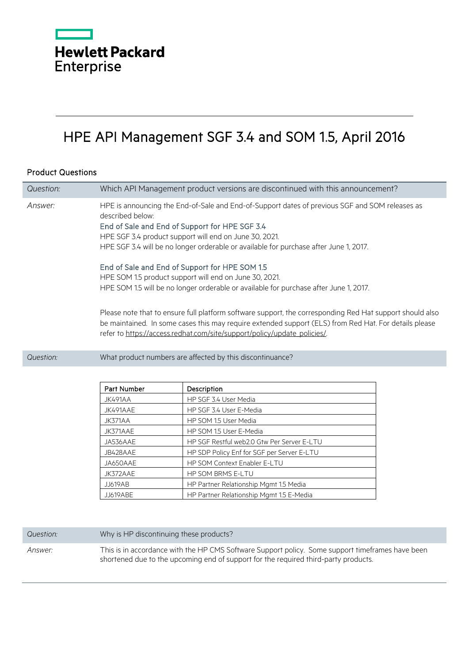

## HPE API Management SGF 3.4 and SOM 1.5, April 2016

## Product Questions

| Question: | Which API Management product versions are discontinued with this announcement?                                                                                                                                                                                                                                                                                                                                                                                                                                                                                                                                                                                                                                                                                                                                                |
|-----------|-------------------------------------------------------------------------------------------------------------------------------------------------------------------------------------------------------------------------------------------------------------------------------------------------------------------------------------------------------------------------------------------------------------------------------------------------------------------------------------------------------------------------------------------------------------------------------------------------------------------------------------------------------------------------------------------------------------------------------------------------------------------------------------------------------------------------------|
| Answer:   | HPE is announcing the End-of-Sale and End-of-Support dates of previous SGF and SOM releases as<br>described below:<br>End of Sale and End of Support for HPE SGF 3.4<br>HPE SGF 3.4 product support will end on June 30, 2021.<br>HPE SGF 3.4 will be no longer orderable or available for purchase after June 1, 2017.<br>End of Sale and End of Support for HPE SOM 1.5<br>HPE SOM 1.5 product support will end on June 30, 2021.<br>HPE SOM 1.5 will be no longer orderable or available for purchase after June 1, 2017.<br>Please note that to ensure full platform software support, the corresponding Red Hat support should also<br>be maintained. In some cases this may require extended support (ELS) from Red Hat. For details please<br>refer to https://access.redhat.com/site/support/policy/update_policies/. |
| Question: | What product numbers are affected by this discontinuance?                                                                                                                                                                                                                                                                                                                                                                                                                                                                                                                                                                                                                                                                                                                                                                     |
|           |                                                                                                                                                                                                                                                                                                                                                                                                                                                                                                                                                                                                                                                                                                                                                                                                                               |

| Part Number     | Description                                |
|-----------------|--------------------------------------------|
| JK491AA         | HP SGF 3.4 User Media                      |
| JK491AAE        | HP SGF 3.4 User E-Media                    |
| JK371AA         | HP SOM 1.5 User Media                      |
| JK371AAE        | HP SOM 1.5 User E-Media                    |
| JA536AAE        | HP SGF Restful web2.0 Gtw Per Server E-LTU |
| JB428AAE        | HP SDP Policy Enf for SGF per Server E-LTU |
| JA650AAE        | HP SOM Context Enabler E-LTU               |
| JK372AAE        | <b>HP SOM BRMS E-LTU</b>                   |
| <b>JJ619AB</b>  | HP Partner Relationship Mgmt 1.5 Media     |
| <b>JJ619ABE</b> | HP Partner Relationship Mgmt 1.5 E-Media   |

| Question: | Why is HP discontinuing these products?                                                                                                                                                 |
|-----------|-----------------------------------------------------------------------------------------------------------------------------------------------------------------------------------------|
| Answer:   | This is in accordance with the HP CMS Software Support policy. Some support timeframes have been<br>shortened due to the upcoming end of support for the required third-party products. |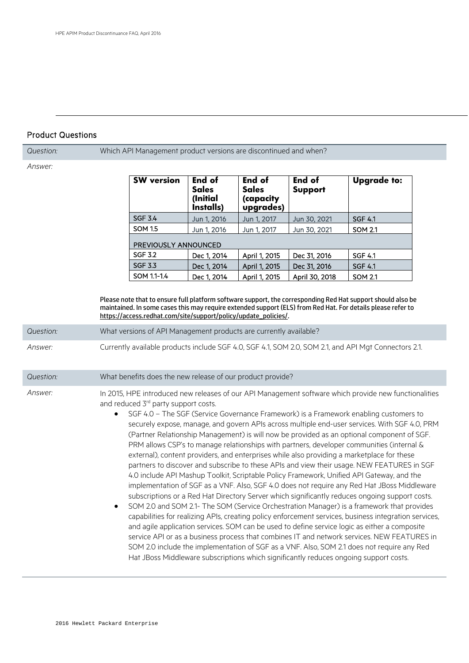## Product Questions

*Question:* Which API Management product versions are discontinued and when? *Answer:* **SW version End of Sales (Initial Installs) End of Sales (capacity upgrades) End of Support Upgrade to:** SGF 3.4 Jun 1, 2016 Jun 1, 2017 Jun 30, 2021 SGF 4.1 SOM 1.5 Jun 1, 2016 Jun 1, 2017 Jun 30, 2021 SOM 2.1 PREVIOUSLY ANNOUNCED SGF 3.2 Dec 1, 2014 | April 1, 2015 | Dec 31, 2016 | SGF 4.1 SGF 3.3 Dec 1, 2014  $\vert$  April 1, 2015  $\vert$  Dec 31, 2016  $\vert$  SGF 4.1 SOM 1.1-1.4  $\vert$  Dec 1, 2014  $\vert$  April 1, 2015  $\vert$  April 30, 2018  $\vert$  SOM 2.1 Please note that to ensure full platform software support, the corresponding Red Hat support should also be maintained. In some cases this may require extended support (ELS) from Red Hat. For details please refer to [https://access.redhat.com/site/support/policy/update\\_policies/.](https://access.redhat.com/site/support/policy/update_policies/) *Question:* What versions of API Management products are currently available? *Answer:* Currently available products include SGF 4.0, SGF 4.1, SOM 2.0, SOM 2.1, and API Mgt Connectors 2.1. *Question:* What benefits does the new release of our product provide? *Answer:* In 2015, HPE introduced new releases of our API Management software which provide new functionalities and reduced 3<sup>rd</sup> party support costs. SGF 4.0 - The SGF (Service Governance Framework) is a Framework enabling customers to securely expose, manage, and govern APIs across multiple end-user services. With SGF 4.0, PRM (Partner Relationship Management) is will now be provided as an optional component of SGF. PRM allows CSP's to manage relationships with partners, developer communities (internal & external), content providers, and enterprises while also providing a marketplace for these partners to discover and subscribe to these APIs and view their usage. NEW FEATURES in SGF 4.0 include API Mashup Toolkit, Scriptable Policy Framework, Unified API Gateway, and the implementation of SGF as a VNF. Also, SGF 4.0 does not require any Red Hat JBoss Middleware subscriptions or a Red Hat Directory Server which significantly reduces ongoing support costs. • SOM 2.0 and SOM 2.1- The SOM (Service Orchestration Manager) is a framework that provides capabilities for realizing APIs, creating policy enforcement services, business integration services, and agile application services. SOM can be used to define service logic as either a composite service API or as a business process that combines IT and network services. NEW FEATURES in SOM 2.0 include the implementation of SGF as a VNF. Also, SOM 2.1 does not require any Red Hat JBoss Middleware subscriptions which significantly reduces ongoing support costs.